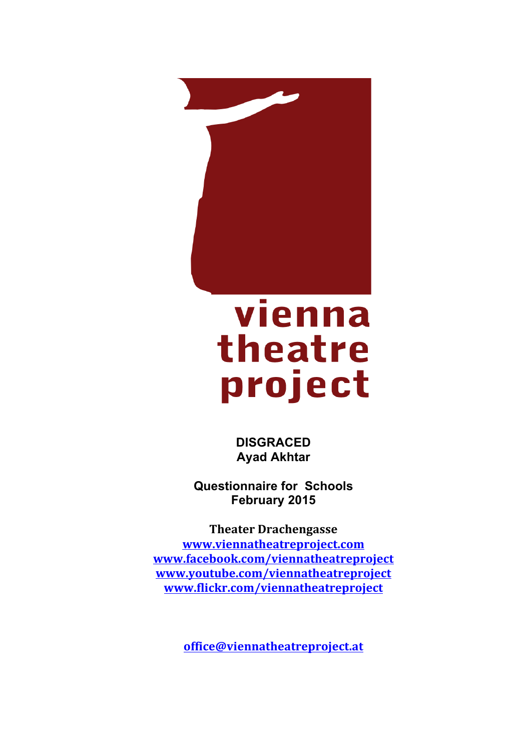

# vienna theatre project

**DISGRACED Ayad Akhtar**

**Questionnaire for Schools February 2015**

**Theater Drachengasse www.viennatheatreproject.com www.facebook.com/viennatheatreproject www.youtube.com/viennatheatreproject www.flickr.com/viennatheatreproject**

**office@viennatheatreproject.at**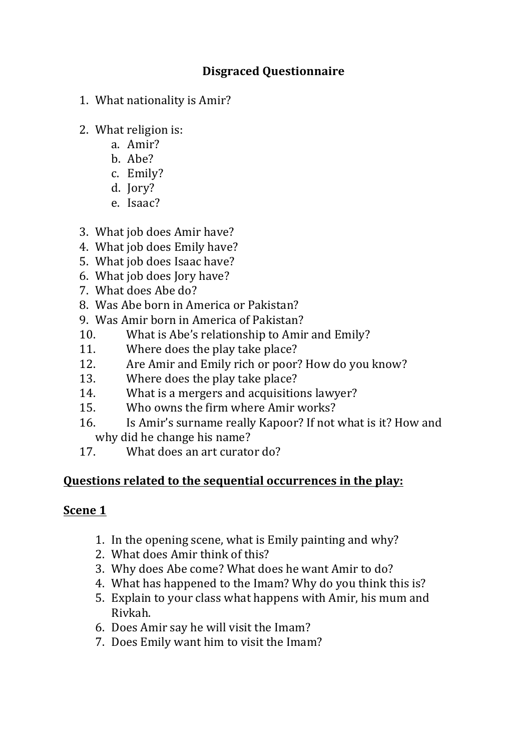# **Disgraced Questionnaire**

- 1. What nationality is Amir?
- 2. What religion is:
	- a. Amir?
	- b. Abe?
	- c. Emily?
	- d. Jory?
	- e. Isaac?
- 3. What job does Amir have?
- 4. What job does Emily have?
- 5. What job does Isaac have?
- 6. What job does Jory have?
- 7. What does Abe do?
- 8. Was Abe born in America or Pakistan?
- 9. Was Amir born in America of Pakistan?
- 10. What is Abe's relationship to Amir and Emily?
- 11. Where does the play take place?
- 12. Are Amir and Emily rich or poor? How do you know?
- 13. Where does the play take place?
- 14. What is a mergers and acquisitions lawyer?
- 15. Who owns the firm where Amir works?
- 16. Is Amir's surname really Kapoor? If not what is it? How and why did he change his name?
- 17. What does an art curator do?

## **Questions related to the sequential occurrences in the play:**

#### **Scene 1**

- 1. In the opening scene, what is Emily painting and why?
- 2. What does Amir think of this?
- 3. Why does Abe come? What does he want Amir to do?
- 4. What has happened to the Imam? Why do you think this is?
- 5. Explain to your class what happens with Amir, his mum and Rivkah.
- 6. Does Amir say he will visit the Imam?
- 7. Does Emily want him to visit the Imam?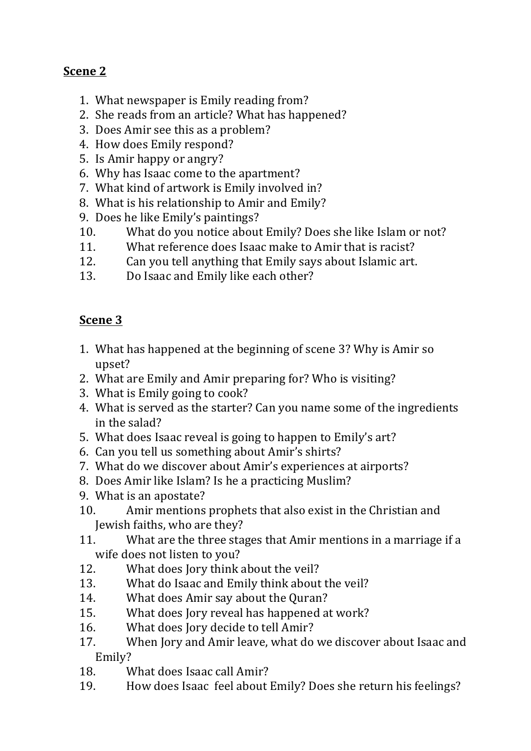# **Scene 2**

- 1. What newspaper is Emily reading from?
- 2. She reads from an article? What has happened?
- 3. Does Amir see this as a problem?
- 4. How does Emily respond?
- 5. Is Amir happy or angry?
- 6. Why has Isaac come to the apartment?
- 7. What kind of artwork is Emily involved in?
- 8. What is his relationship to Amir and Emily?
- 9. Does he like Emily's paintings?
- 10. What do you notice about Emily? Does she like Islam or not?
- 11. What reference does Isaac make to Amir that is racist?
- 12. Can you tell anything that Emily says about Islamic art.
- 13. Do Isaac and Emily like each other?

# **Scene 3**

- 1. What has happened at the beginning of scene 3? Why is Amir so upset?
- 2. What are Emily and Amir preparing for? Who is visiting?
- 3. What is Emily going to cook?
- 4. What is served as the starter? Can you name some of the ingredients in the salad?
- 5. What does Isaac reveal is going to happen to Emily's art?
- 6. Can you tell us something about Amir's shirts?
- 7. What do we discover about Amir's experiences at airports?
- 8. Does Amir like Islam? Is he a practicing Muslim?
- 9. What is an apostate?
- 10. Amir mentions prophets that also exist in the Christian and Jewish faiths, who are they?
- 11. What are the three stages that Amir mentions in a marriage if a wife does not listen to you?
- 12. What does Jory think about the veil?
- 13. What do Isaac and Emily think about the veil?
- 14. What does Amir say about the Quran?
- 15. What does Jory reveal has happened at work?
- 16. What does Jory decide to tell Amir?
- 17. When Jory and Amir leave, what do we discover about Isaac and Emily?
- 18. What does Isaac call Amir?
- 19. How does Isaac feel about Emily? Does she return his feelings?